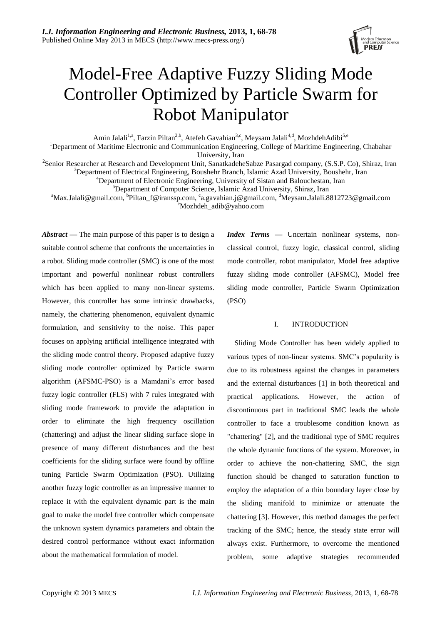

# Model-Free Adaptive Fuzzy Sliding Mode Controller Optimized by Particle Swarm for Robot Manipulator

Amin Jalali<sup>1,a</sup>, Farzin Piltan<sup>2,b</sup>, Atefeh Gavahian<sup>3,c</sup>, Meysam Jalali<sup>4,d</sup>, MozhdehAdibi<sup>5,e</sup>

<sup>1</sup>Department of Maritime Electronic and Communication Engineering, College of Maritime Engineering, Chabahar University, Iran

<sup>2</sup>Senior Researcher at Research and Development Unit, SanatkadeheSabze Pasargad company, (S.S.P. Co), Shiraz, Iran <sup>3</sup>Department of Electrical Engineering, Boushehr Branch, Islamic Azad University, Boushehr, Iran

<sup>4</sup>Department of Electronic Engineering, University of Sistan and Balouchestan, Iran

<sup>5</sup>Department of Computer Science, Islamic Azad University, Shiraz, Iran

<sup>a</sup>Max.Jalali@gmail.com, <sup>b</sup>[Piltan\\_f@iranssp.com,](mailto:Piltan_f@iranssp.com) <sup>c</sup>[a.gavahian.j@gmail.com,](mailto:a.gavahian.j@gmail.com) <sup>d</sup>Meysam.Jalali.8812723@gmail.com

<sup>e</sup>[Mozhdeh\\_adib@yahoo.com](mailto:Mozhdeh_adib@yahoo.com)

*Abstract —* The main purpose of this paper is to design a suitable control scheme that confronts the uncertainties in a robot. Sliding mode controller (SMC) is one of the most important and powerful nonlinear robust controllers which has been applied to many non-linear systems. However, this controller has some intrinsic drawbacks, namely, the chattering phenomenon, equivalent dynamic formulation, and sensitivity to the noise. This paper focuses on applying artificial intelligence integrated with the sliding mode control theory. Proposed adaptive fuzzy sliding mode controller optimized by Particle swarm algorithm (AFSMC-PSO) is a Mamdani's error based fuzzy logic controller (FLS) with 7 rules integrated with sliding mode framework to provide the adaptation in order to eliminate the high frequency oscillation (chattering) and adjust the linear sliding surface slope in presence of many different disturbances and the best coefficients for the sliding surface were found by offline tuning Particle Swarm Optimization (PSO). Utilizing another fuzzy logic controller as an impressive manner to replace it with the equivalent dynamic part is the main goal to make the model free controller which compensate the unknown system dynamics parameters and obtain the desired control performance without exact information about the mathematical formulation of model*.*

*Index Terms* **—** Uncertain nonlinear systems, nonclassical control, fuzzy logic, classical control, sliding mode controller, robot manipulator, Model free adaptive fuzzy sliding mode controller (AFSMC), Model free sliding mode controller, Particle Swarm Optimization (PSO)

## I. INTRODUCTION

Sliding Mode Controller has been widely applied to various types of non-linear systems. SMC's popularity is due to its robustness against the changes in parameters and the external disturbances [1] in both theoretical and practical applications. However, the action of discontinuous part in traditional SMC leads the whole controller to face a troublesome condition known as "chattering" [2], and the traditional type of SMC requires the whole dynamic functions of the system. Moreover, in order to achieve the non-chattering SMC, the sign function should be changed to saturation function to employ the adaptation of a thin boundary layer close by the sliding manifold to minimize or attenuate the chattering [3]. However, this method damages the perfect tracking of the SMC; hence, the steady state error will always exist. Furthermore, to overcome the mentioned problem, some adaptive strategies recommended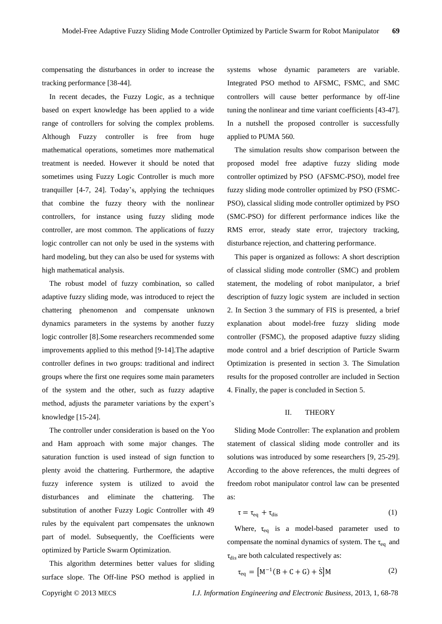compensating the disturbances in order to increase the tracking performance [38-44].

In recent decades, the Fuzzy Logic, as a technique based on expert knowledge has been applied to a wide range of controllers for solving the complex problems. Although Fuzzy controller is free from huge mathematical operations, sometimes more mathematical treatment is needed. However it should be noted that sometimes using Fuzzy Logic Controller is much more tranquiller [4-7, 24]. Today's, applying the techniques that combine the fuzzy theory with the nonlinear controllers, for instance using fuzzy sliding mode controller, are most common. The applications of fuzzy logic controller can not only be used in the systems with hard modeling, but they can also be used for systems with high mathematical analysis.

The robust model of fuzzy combination, so called adaptive fuzzy sliding mode, was introduced to reject the chattering phenomenon and compensate unknown dynamics parameters in the systems by another fuzzy logic controller [8].Some researchers recommended some improvements applied to this method [9-14].The adaptive controller defines in two groups: traditional and indirect groups where the first one requires some main parameters of the system and the other, such as fuzzy adaptive method, adjusts the parameter variations by the expert's knowledge [15-24].

The controller under consideration is based on the Yoo and Ham approach with some major changes. The saturation function is used instead of sign function to plenty avoid the chattering. Furthermore, the adaptive fuzzy inference system is utilized to avoid the disturbances and eliminate the chattering. The substitution of another Fuzzy Logic Controller with 49 rules by the equivalent part compensates the unknown part of model. Subsequently, the Coefficients were optimized by Particle Swarm Optimization.

This algorithm determines better values for sliding surface slope. The Off-line PSO method is applied in systems whose dynamic parameters are variable. Integrated PSO method to AFSMC, FSMC, and SMC controllers will cause better performance by off-line tuning the nonlinear and time variant coefficients [43-47]. In a nutshell the proposed controller is successfully applied to PUMA 560.

The simulation results show comparison between the proposed model free adaptive fuzzy sliding mode controller optimized by PSO (AFSMC-PSO), model free fuzzy sliding mode controller optimized by PSO (FSMC-PSO), classical sliding mode controller optimized by PSO (SMC-PSO) for different performance indices like the RMS error, steady state error, trajectory tracking, disturbance rejection, and chattering performance.

This paper is organized as follows: A short description of classical sliding mode controller (SMC) and problem statement, the modeling of robot manipulator, a brief description of fuzzy logic system are included in section 2. In Section 3 the summary of FIS is presented, a brief explanation about model-free fuzzy sliding mode controller (FSMC), the proposed adaptive fuzzy sliding mode control and a brief description of Particle Swarm Optimization is presented in section 3. The Simulation results for the proposed controller are included in Section 4. Finally, the paper is concluded in Section 5.

# II. THEORY

Sliding Mode Controller: The explanation and problem statement of classical sliding mode controller and its solutions was introduced by some researchers [9, 25-29]. According to the above references, the multi degrees of freedom robot manipulator control law can be presented as:

$$
\tau = \tau_{eq} + \tau_{dis} \tag{1}
$$

Where,  $\tau_{eq}$  is a model-based parameter used to compensate the nominal dynamics of system. The  $\tau_{eq}$  and  $\tau_{\text{dis}}$  are both calculated respectively as:

$$
\tau_{\text{eq}} = [M^{-1}(B + C + G) + \dot{S}]M
$$
 (2)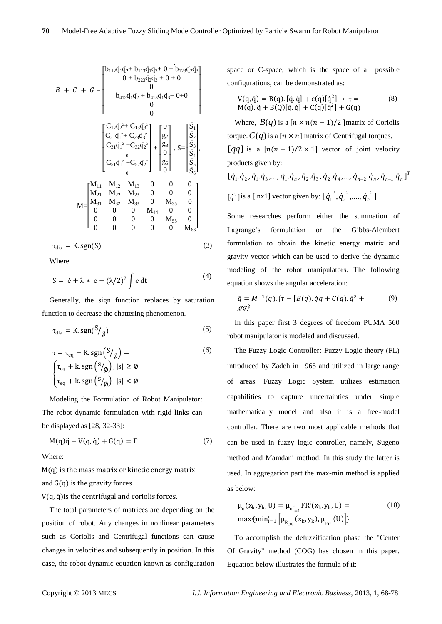$$
B + C + G = \begin{bmatrix} b_{112}q_1q_2 + b_{113}q_1q_3 + 0 + b_{123}q_2q_3 \\ 0 + b_{223}q_2q_3 + 0 + 0 \\ 0 \\ b_{412}q_1q_2 + b_{413}q_1q_3 + 0 + 0 \\ 0 \\ 0 \end{bmatrix}
$$
  

$$
B + C + G = \begin{bmatrix} 0 & 0 & 0 \\ 0 & 0 & 0 \\ 0 & 0 & 0 \end{bmatrix}
$$
  

$$
C_{12}q_2 + C_{13}q_3 + C_{14}q_3 + C_{15}q_4 + C_{16}q_5
$$
  

$$
C_{21}q_1^2 + C_{22}q_2^2 + C_{13}q_3^3 + C_{16}q_5
$$
  

$$
C_{31}q_1^2 + C_{32}q_2^2 + C_{17}q_5 + C_{18}q_5
$$
  

$$
C_{31}q_1^2 + C_{32}q_2^2 + C_{18}q_5 + C_{18}q_5
$$
  

$$
C_{31}q_1^2 + C_{32}q_2^2 + C_{18}q_5 + C_{18}q_5
$$
  

$$
C_{31}q_1^2 + C_{32}q_2^2 + C_{18}q_5 + C_{18}q_5
$$
  

$$
C_{31}q_1^2 + C_{32}q_2^2 + C_{18}q_5 + C_{18}q_5
$$
  

$$
C_{31}q_1^2 + C_{32}q_2^2 + C_{18}q_5 + C_{18}q_5
$$
  

$$
C_{31}q_1^2 + C_{32}q_2^2 + C_{18}q_5
$$
  

$$
C_{31}q_1^2 + C_{32}q_2^2 + C_{18}q_5
$$
  

$$
C_{31}q_1^2 + C_{32}q_2^2 + C_{18}q_5
$$
  

$$
C_{31}q_1^2 + C_{32}q_2^2 + C_{18}q_5
$$
  

$$
C_{31}q_1^2 + C_{32}
$$

Where

$$
S = \dot{e} + \lambda * e + (\lambda/2)^2 \int e dt
$$
 (4)

Generally, the sign function replaces by saturation function to decrease the chattering phenomenon.

$$
\tau_{\rm dis} = \text{K}.\,\text{sgn}(\text{S}/\text{g})\tag{5}
$$

$$
\tau = \tau_{eq} + K \cdot \text{sgn}\left(\frac{S}{\phi}\right) =
$$
\n
$$
\begin{cases}\n\tau_{eq} + k \cdot \text{sgn}\left(\frac{S}{\phi}\right), |s| \ge \phi \\
\tau_{eq} + k \cdot \text{sgn}\left(\frac{S}{\phi}\right), |s| < \phi\n\end{cases}
$$
\n(6)

Modeling the Formulation of Robot Manipulator: The robot dynamic formulation with rigid links can be displayed as [28, 32-33]:

$$
M(q)\ddot{q} + V(q, \dot{q}) + G(q) = \Gamma \tag{7}
$$

Where:

 $M(q)$  is the mass matrix or kinetic energy matrix and  $G(q)$  is the gravity forces.

 $V(q, \dot{q})$  is the centrifugal and coriolis forces.

The total parameters of matrices are depending on the position of robot. Any changes in nonlinear parameters such as Coriolis and Centrifugal functions can cause changes in velocities and subsequently in position. In this case, the robot dynamic equation known as configuration space or C-space, which is the space of all possible configurations, can be demonstrated as:

$$
V(q, \dot{q}) = B(q). [\dot{q}, \dot{q}] + c(q)[\dot{q}^{2}] \rightarrow \tau =
$$
\n
$$
M(q). \ddot{q} + B(Q)[\dot{q}, \dot{q}] + C(q)[\dot{q}^{2}] + G(q)
$$
\n(8)

Where,  $B(q)$  is a  $[n \times n(n-1)/2]$  matrix of Coriolis torque.  $C(q)$  is a  $[n \times n]$  matrix of Centrifugal torques.  $\left[\dot{q}\dot{q}\right]$  is a  $\left[n(n-1)/2\times1\right]$  vector of joint velocity products given by:

$$
[\dot{q}_1.\dot{q}_2, \dot{q}_1.\dot{q}_3, ..., \dot{q}_1.\dot{q}_n, \dot{q}_2.\dot{q}_3, \dot{q}_2.\dot{q}_4, ..., \dot{q}_{n-2}.\dot{q}_n, \dot{q}_{n-1}.\dot{q}_n]^T
$$
  

$$
[\dot{q}^2]
$$
 is a [nx1] vector given by: 
$$
[\dot{q}_1^2, \dot{q}_2^2, ..., \dot{q}_n^2]
$$

Some researches perform either the summation of Lagrange's formulation or the Gibbs-Alembert formulation to obtain the kinetic energy matrix and gravity vector which can be used to derive the dynamic modeling of the robot manipulators. The following equation shows the angular acceleration:

$$
\ddot{q} = M^{-1}(q) \cdot \{ \tau - [B(q) \cdot \dot{q}q + C(q) \cdot \dot{q}^2 + (9) \cdot \dot{q}^2 + q^2 \}.
$$

In this paper first 3 degrees of freedom PUMA 560 robot manipulator is modeled and discussed.

The Fuzzy Logic Controller: Fuzzy Logic theory (FL) introduced by Zadeh in 1965 and utilized in large range of areas. Fuzzy Logic System utilizes estimation capabilities to capture uncertainties under simple mathematically model and also it is a free-model controller. There are two most applicable methods that can be used in fuzzy logic controller, namely, Sugeno method and Mamdani method. In this study the latter is used. In aggregation part the max-min method is applied as below:

$$
\mu_{u}(x_{k}, y_{k}, U) = \mu_{u_{i=1}^{r}} FR^{i}(x_{k}, y_{k}, U) =
$$
  
\n
$$
\max{\text{Fmin}_{i=1}^{r}} \left[ \mu_{R_{pq}}(x_{k}, y_{k}), \mu_{p_{m}}(U) \right]
$$
\n(10)

To accomplish the defuzzification phase the "Center Of Gravity" method (COG) has chosen in this paper. Equation below illustrates the formula of it: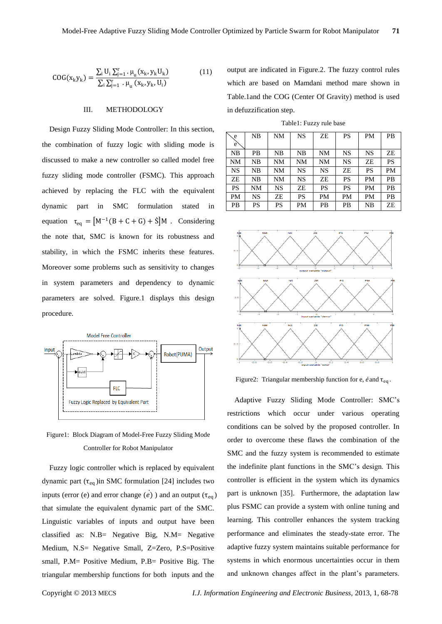$$
COG(x_k y_k) = \frac{\sum_{i} U_i \sum_{j=1}^{r} \cdot \mu_u(x_k, y_k U_k)}{\sum_{i} \sum_{j=1}^{r} \cdot \mu_u(x_k, y_k, U_i)}
$$
(11)

#### III. METHODOLOGY

Design Fuzzy Sliding Mode Controller: In this section, the combination of fuzzy logic with sliding mode is discussed to make a new controller so called model free fuzzy sliding mode controller (FSMC). This approach achieved by replacing the FLC with the equivalent dynamic part in SMC formulation stated equation  $\tau_{eq} = [M^{-1}(B + C + G) + \dot{S}]M$ . Considering the note that, SMC is known for its robustness and stability, in which the FSMC inherits these features. Moreover some problems such as sensitivity to changes in system parameters and dependency to dynamic parameters are solved. Figure.1 displays this design procedure.



Figure1: Block Diagram of Model-Free Fuzzy Sliding Mode Controller for Robot Manipulator

Fuzzy logic controller which is replaced by equivalent dynamic part ( $\tau_{eq}$ ) in SMC formulation [24] includes two inputs (error (e) and error change  $(\vec{e})$  ) and an output ( $\tau_{eq}$ ) that simulate the equivalent dynamic part of the SMC. Linguistic variables of inputs and output have been classified as: N.B= Negative Big, N.M= Negative Medium, N.S= Negative Small, Z=Zero, P.S=Positive small, P.M= Positive Medium, P.B= Positive Big. The triangular membership functions for both inputs and the

output are indicated in Figure.2. The fuzzy control rules which are based on Mamdani method mare shown in Table.1and the COG (Center Of Gravity) method is used in defuzzification step.

Table1: Fuzzy rule base

| e<br>e    | NΒ        | NΜ | NS        | ZE | PS        | PМ        | <b>PB</b> |
|-----------|-----------|----|-----------|----|-----------|-----------|-----------|
| NB        | PB        | NΒ | NΒ        | NΜ | NS        | <b>NS</b> | ZE        |
| <b>NM</b> | NΒ        | NM | NM        | NM | <b>NS</b> | ZE        | PS        |
| NS        | NΒ        | NM | NS        | NS | ZE        | PS        | PM        |
| ZE        | NΒ        | NM | <b>NS</b> | ZE | <b>PS</b> | PM        | PB        |
| PS        | NM        | NS | ZE        | PS | PS        | <b>PM</b> | PB        |
| PM        | <b>NS</b> | ZE | PS        | PM | PM        | <b>PM</b> | PВ        |
| PB        | PS        | PS | PM        | PB | PB        | NΒ        | ZE        |



Figure2: Triangular membership function for e,  $\dot{e}$  and  $\tau_{eq}$ .

Adaptive Fuzzy Sliding Mode Controller: SMC's restrictions which occur under various operating conditions can be solved by the proposed controller. In order to overcome these flaws the combination of the SMC and the fuzzy system is recommended to estimate the indefinite plant functions in the SMC's design. This controller is efficient in the system which its dynamics part is unknown [35]. Furthermore, the adaptation law plus FSMC can provide a system with online tuning and learning. This controller enhances the system tracking performance and eliminates the steady-state error. The adaptive fuzzy system maintains suitable performance for systems in which enormous uncertainties occur in them and unknown changes affect in the plant's parameters.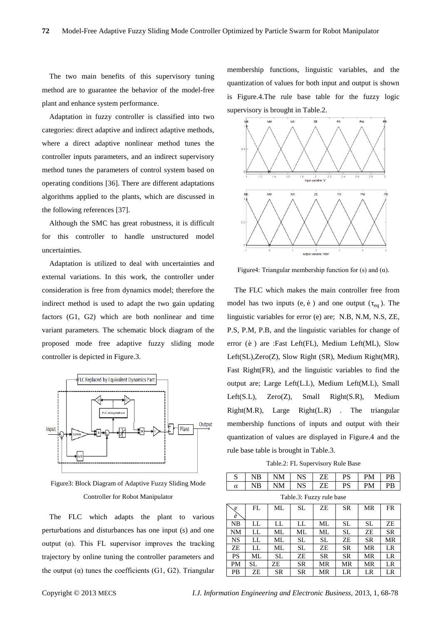The two main benefits of this supervisory tuning method are to guarantee the behavior of the model-free plant and enhance system performance.

Adaptation in fuzzy controller is classified into two categories: direct adaptive and indirect adaptive methods, where a direct adaptive nonlinear method tunes the controller inputs parameters, and an indirect supervisory method tunes the parameters of control system based on operating conditions [36]. There are different adaptations algorithms applied to the plants, which are discussed in the following references [37].

Although the SMC has great robustness, it is difficult for this controller to handle unstructured model uncertainties.

Adaptation is utilized to deal with uncertainties and external variations. In this work, the controller under consideration is free from dynamics model; therefore the indirect method is used to adapt the two gain updating factors (G1, G2) which are both nonlinear and time variant parameters. The schematic block diagram of the proposed mode free adaptive fuzzy sliding mode controller is depicted in Figure.3.



Figure3: Block Diagram of Adaptive Fuzzy Sliding Mode Controller for Robot Manipulator

The FLC which adapts the plant to various perturbations and disturbances has one input (s) and one output (α). This FL supervisor improves the tracking trajectory by online tuning the controller parameters and the output  $(\alpha)$  tunes the coefficients (G1, G2). Triangular membership functions, linguistic variables, and the quantization of values for both input and output is shown is Figure.4.The rule base table for the fuzzy logic supervisory is brought in Table.2.



Figure4: Triangular membership function for (s) and  $(\alpha)$ .

The FLC which makes the main controller free from model has two inputs (e,  $\dot{e}$ ) and one output ( $\tau_{eq}$ ). The linguistic variables for error (e) are; N.B, N.M, N.S, ZE, P.S, P.M, P.B, and the linguistic variables for change of error (e) are :Fast Left(FL), Medium Left(ML), Slow Left(SL),Zero(Z), Slow Right (SR), Medium Right(MR), Fast Right(FR), and the linguistic variables to find the output are; Large Left(L.L), Medium Left(M.L), Small Left(S.L), Zero(Z), Small Right(S.R), Medium Right(M.R), Large Right(L.R) . The triangular membership functions of inputs and output with their quantization of values are displayed in Figure.4 and the rule base table is brought in Table.3.

Table.2: FL Supervisory Rule Base

|          | NB | NM | NS | ZE | PS | PM | PB |
|----------|----|----|----|----|----|----|----|
| $\alpha$ | NB | NΜ | NS | ZE | PS | PM | PB |

Table.3: Fuzzy rule base

| e.<br>ė   | FL | МL        | SL. | ZE        | <b>SR</b> | MR        | <b>FR</b> |
|-----------|----|-----------|-----|-----------|-----------|-----------|-----------|
| NB        | LL | LL        | LL  | ML        | <b>SL</b> | <b>SL</b> | ZE        |
| <b>NM</b> | LL | ML        | ML  | ML        | <b>SL</b> | ZE        | <b>SR</b> |
| <b>NS</b> | LL | МL        | SL  | SL        | ZE        | <b>SR</b> | MR        |
| ZE        | LL | МL        | SL  | ZE        | <b>SR</b> | MR        | LR        |
| <b>PS</b> | ML | SL.       | ZE  | <b>SR</b> | <b>SR</b> | MR        | LR        |
| <b>PM</b> | SL | ZE        | SR  | MR        | MR        | MR        | LR        |
| <b>PB</b> | ZE | <b>SR</b> | SR  | MR        | LR        | LR        | LR        |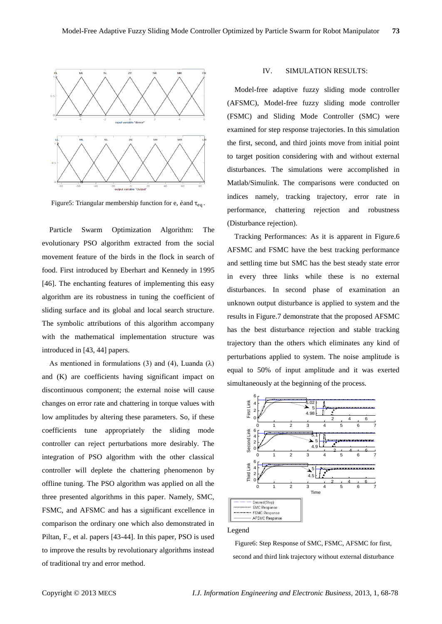

Figure5: Triangular membership function for e,  $\dot{\text{e}}$  and  $\tau_{\text{eq}}$ .

Particle Swarm Optimization Algorithm: The evolutionary PSO algorithm extracted from the social movement feature of the birds in the flock in search of food. First introduced by Eberhart and Kennedy in 1995 [46]. The enchanting features of implementing this easy algorithm are its robustness in tuning the coefficient of sliding surface and its global and local search structure. The symbolic attributions of this algorithm accompany with the mathematical implementation structure was introduced in [43, 44] papers.

As mentioned in formulations (3) and (4), Luanda ( $\lambda$ ) and (K) are coefficients having significant impact on discontinuous component; the external noise will cause changes on error rate and chattering in torque values with low amplitudes by altering these parameters. So, if these coefficients tune appropriately the sliding mode controller can reject perturbations more desirably. The integration of PSO algorithm with the other classical controller will deplete the chattering phenomenon by offline tuning. The PSO algorithm was applied on all the three presented algorithms in this paper. Namely, SMC, FSMC, and AFSMC and has a significant excellence in comparison the ordinary one which also demonstrated in Piltan, F., et al. papers [43-44]. In this paper, PSO is used to improve the results by revolutionary algorithms instead of traditional try and error method.

# IV. SIMULATION RESULTS:

Model-free adaptive fuzzy sliding mode controller (AFSMC), Model-free fuzzy sliding mode controller (FSMC) and Sliding Mode Controller (SMC) were examined for step response trajectories. In this simulation the first, second, and third joints move from initial point to target position considering with and without external disturbances. The simulations were accomplished in Matlab/Simulink. The comparisons were conducted on indices namely, tracking trajectory, error rate in performance, chattering rejection and robustness (Disturbance rejection).

Tracking Performances: As it is apparent in Figure.6 AFSMC and FSMC have the best tracking performance and settling time but SMC has the best steady state error in every three links while these is no external disturbances. In second phase of examination an unknown output disturbance is applied to system and the results in Figure.7 demonstrate that the proposed AFSMC has the best disturbance rejection and stable tracking trajectory than the others which eliminates any kind of perturbations applied to system. The noise amplitude is equal to 50% of input amplitude and it was exerted simultaneously at the beginning of the process.



Legend

Figure6: Step Response of SMC, FSMC, AFSMC for first, second and third link trajectory without external disturbance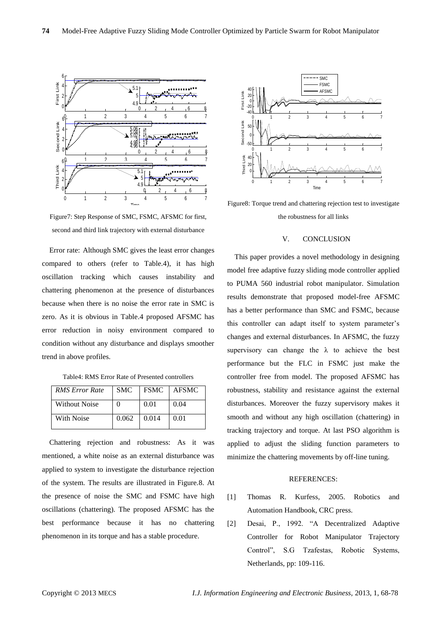

Figure7: Step Response of SMC, FSMC, AFSMC for first, second and third link trajectory with external disturbance

Error rate: Although SMC gives the least error changes compared to others (refer to Table.4), it has high oscillation tracking which causes instability and chattering phenomenon at the presence of disturbances because when there is no noise the error rate in SMC is zero. As it is obvious in Table.4 proposed AFSMC has error reduction in noisy environment compared to condition without any disturbance and displays smoother trend in above profiles.

Table4: RMS Error Rate of Presented controllers

| <b>RMS</b> Error Rate | <b>SMC</b> | <b>FSMC</b> | AFSMC |
|-----------------------|------------|-------------|-------|
| Without Noise         | $\Omega$   | 0.01        | 0.04  |
| With Noise            | 0.062      | 0.014       | 0.01  |

Chattering rejection and robustness: As it was mentioned, a white noise as an external disturbance was applied to system to investigate the disturbance rejection of the system. The results are illustrated in Figure.8. At the presence of noise the SMC and FSMC have high oscillations (chattering). The proposed AFSMC has the best performance because it has no chattering phenomenon in its torque and has a stable procedure.



Figure8: Torque trend and chattering rejection test to investigate the robustness for all links

## V. CONCLUSION

This paper provides a novel methodology in designing model free adaptive fuzzy sliding mode controller applied to PUMA 560 industrial robot manipulator. Simulation results demonstrate that proposed model-free AFSMC has a better performance than SMC and FSMC, because this controller can adapt itself to system parameter's changes and external disturbances. In AFSMC, the fuzzy supervisory can change the  $\lambda$  to achieve the best performance but the FLC in FSMC just make the controller free from model. The proposed AFSMC has robustness, stability and resistance against the external disturbances. Moreover the fuzzy supervisory makes it smooth and without any high oscillation (chattering) in tracking trajectory and torque. At last PSO algorithm is applied to adjust the sliding function parameters to minimize the chattering movements by off-line tuning.

## REFERENCES:

- [1] Thomas R. Kurfess, 2005. Robotics and Automation Handbook, CRC press.
- [2] Desai, P., 1992. "A Decentralized Adaptive Controller for Robot Manipulator Trajectory Control", S.G Tzafestas, Robotic Systems, Netherlands, pp: 109-116.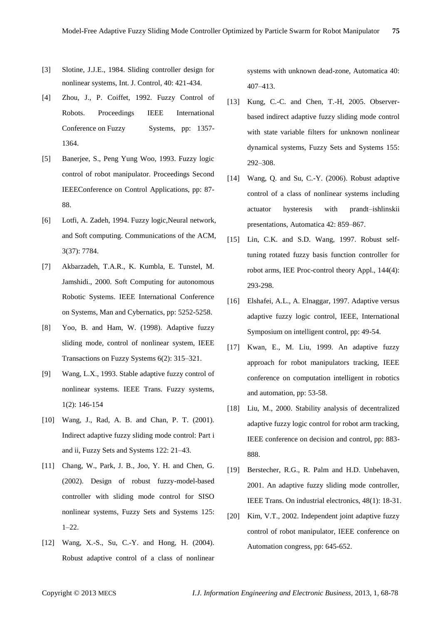- [3] Slotine, J.J.E., 1984. Sliding controller design for nonlinear systems, Int. J. Control, 40: 421-434.
- [4] Zhou, J., P. Coiffet, 1992. Fuzzy Control of Robots. Proceedings IEEE International Conference on Fuzzy Systems, pp: 1357-1364.
- [5] Banerjee, S., Peng Yung Woo, 1993. Fuzzy logic control of robot manipulator. Proceedings Second IEEEConference on Control Applications, pp: 87- 88.
- [6] Lotfi, A. Zadeh, 1994. Fuzzy logic,Neural network, and Soft computing. Communications of the ACM, 3(37): 7784.
- [7] Akbarzadeh, T.A.R., K. Kumbla, E. Tunstel, M. Jamshidi., 2000. Soft Computing for autonomous Robotic Systems. IEEE International Conference on Systems, Man and Cybernatics, pp: 5252-5258.
- [8] Yoo, B. and Ham, W. (1998). Adaptive fuzzy sliding mode, control of nonlinear system, IEEE Transactions on Fuzzy Systems 6(2): 315–321.
- [9] Wang, L.X., 1993. Stable adaptive fuzzy control of nonlinear systems. IEEE Trans. Fuzzy systems, 1(2): 146-154
- [10] Wang, J., Rad, A. B. and Chan, P. T. (2001). Indirect adaptive fuzzy sliding mode control: Part i and ii, Fuzzy Sets and Systems 122: 21–43.
- [11] Chang, W., Park, J. B., Joo, Y. H. and Chen, G. (2002). Design of robust fuzzy-model-based controller with sliding mode control for SISO nonlinear systems, Fuzzy Sets and Systems 125: 1–22.
- [12] Wang, X.-S., Su, C.-Y. and Hong, H. (2004). Robust adaptive control of a class of nonlinear

systems with unknown dead-zone, Automatica 40: 407–413.

- [13] Kung, C.-C. and Chen, T.-H, 2005. Observerbased indirect adaptive fuzzy sliding mode control with state variable filters for unknown nonlinear dynamical systems, Fuzzy Sets and Systems 155: 292–308.
- [14] Wang, Q. and Su, C.-Y. (2006). Robust adaptive control of a class of nonlinear systems including actuator hysteresis with prandt–ishlinskii presentations, Automatica 42: 859–867.
- [15] Lin, C.K. and S.D. Wang, 1997. Robust selftuning rotated fuzzy basis function controller for robot arms, IEE Proc-control theory Appl., 144(4): 293-298.
- [16] Elshafei, A.L., A. Elnaggar, 1997. Adaptive versus adaptive fuzzy logic control, IEEE, International Symposium on intelligent control, pp: 49-54.
- [17] Kwan, E., M. Liu, 1999. An adaptive fuzzy approach for robot manipulators tracking, IEEE conference on computation intelligent in robotics and automation, pp: 53-58.
- [18] Liu, M., 2000. Stability analysis of decentralized adaptive fuzzy logic control for robot arm tracking, IEEE conference on decision and control, pp: 883- 888.
- [19] Berstecher, R.G., R. Palm and H.D. Unbehaven, 2001. An adaptive fuzzy sliding mode controller, IEEE Trans. On industrial electronics, 48(1): 18-31.
- [20] Kim, V.T., 2002. Independent joint adaptive fuzzy control of robot manipulator, IEEE conference on Automation congress, pp: 645-652.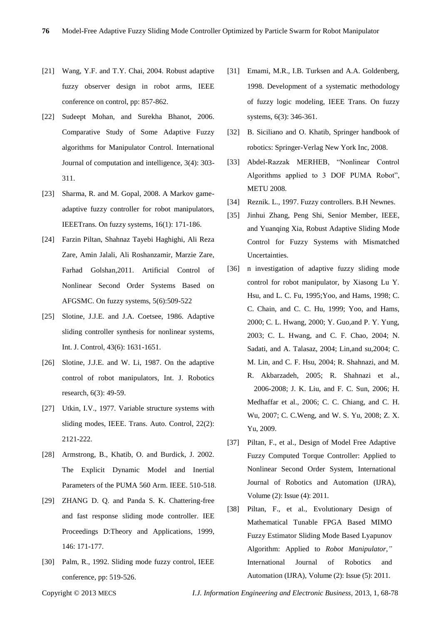- [21] Wang, Y.F. and T.Y. Chai, 2004. Robust adaptive fuzzy observer design in robot arms, IEEE conference on control, pp: 857-862.
- [22] Sudeept Mohan, and Surekha Bhanot, 2006. Comparative Study of Some Adaptive Fuzzy algorithms for Manipulator Control. International Journal of computation and intelligence, 3(4): 303- 311.
- [23] Sharma, R. and M. Gopal, 2008. A Markov gameadaptive fuzzy controller for robot manipulators, IEEETrans. On fuzzy systems, 16(1): 171-186.
- [24] Farzin Piltan, Shahnaz Tayebi Haghighi, Ali Reza Zare, Amin Jalali, Ali Roshanzamir, Marzie Zare, Farhad Golshan,2011. Artificial Control of Nonlinear Second Order Systems Based on AFGSMC. On fuzzy systems, 5(6):509-522
- [25] Slotine, J.J.E. and J.A. Coetsee, 1986. Adaptive sliding controller synthesis for nonlinear systems, Int. J. Control, 43(6): 1631-1651.
- [26] Slotine, J.J.E. and W. Li, 1987. On the adaptive control of robot manipulators, Int. J. Robotics research, 6(3): 49-59.
- [27] Utkin, I.V., 1977. Variable structure systems with sliding modes, IEEE. Trans. Auto. Control, 22(2): 2121-222.
- [28] Armstrong, B., Khatib, O. and Burdick, J. 2002. The Explicit Dynamic Model and Inertial Parameters of the PUMA 560 Arm. IEEE. 510-518.
- [29] ZHANG D. Q. and Panda S. K. Chattering-free and fast response sliding mode controller. IEE Proceedings D:Theory and Applications, 1999, 146: 171-177.
- [30] Palm, R., 1992. Sliding mode fuzzy control, IEEE conference, pp: 519-526.
- [31] Emami, M.R., I.B. Turksen and A.A. Goldenberg, 1998. Development of a systematic methodology of fuzzy logic modeling, IEEE Trans. On fuzzy systems, 6(3): 346-361.
- [32] B. Siciliano and O. Khatib, Springer handbook of robotics: Springer-Verlag New York Inc, 2008.
- [33] Abdel-Razzak MERHEB, "Nonlinear Control Algorithms applied to 3 DOF PUMA Robot", METU 2008.
- [34] Reznik. L., 1997. Fuzzy controllers. B.H Newnes.
- [35] Jinhui Zhang, Peng Shi, Senior Member, IEEE, and Yuanqing Xia, Robust Adaptive Sliding Mode Control for Fuzzy Systems with Mismatched Uncertainties.
- [36] n investigation of adaptive fuzzy sliding mode control for robot manipulator, by Xiasong Lu Y. Hsu, and L. C. Fu, 1995;Yoo, and Hams, 1998; C. C. Chain, and C. C. Hu, 1999; Yoo, and Hams, 2000; C. L. Hwang, 2000; Y. Guo,and P. Y. Yung, 2003; C. L. Hwang, and C. F. Chao, 2004; N. Sadati, and A. Talasaz, 2004; Lin,and su,2004; C. M. Lin, and C. F. Hsu, 2004; R. Shahnazi, and M. R. Akbarzadeh, 2005; R. Shahnazi et al., 2006-2008; J. K. Liu, and F. C. Sun, 2006; H. Medhaffar et al., 2006; C. C. Chiang, and C. H. Wu, 2007; C. C.Weng, and W. S. Yu, 2008; Z. X. Yu, 2009.
- [37] Piltan, F., et al., Design of Model Free Adaptive Fuzzy Computed Torque Controller: Applied to Nonlinear Second Order System, International Journal of Robotics and Automation (IJRA), Volume (2): Issue (4): 2011.
- [38] Piltan, F., et al., Evolutionary Design of Mathematical Tunable FPGA Based MIMO Fuzzy Estimator Sliding Mode Based Lyapunov Algorithm: Applied to *Robot Manipulator,"*  International Journal of Robotics and Automation (IJRA), Volume (2): Issue (5): 2011.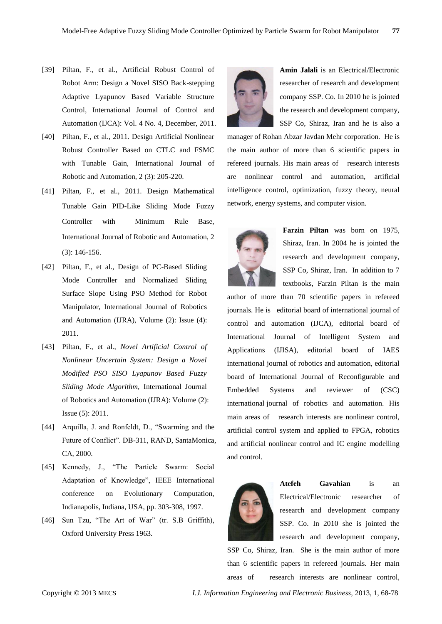- [39] Piltan, F., et al., Artificial Robust Control of Robot Arm: Design a Novel SISO Back-stepping Adaptive Lyapunov Based Variable Structure Control, International Journal of Control and Automation (IJCA): Vol. 4 No. 4, December, 2011.
- [40] Piltan, F., et al., 2011. Design Artificial Nonlinear Robust Controller Based on CTLC and FSMC with Tunable Gain, International Journal of Robotic and Automation, 2 (3): 205-220.
- [41] Piltan, F., et al., 2011. Design Mathematical Tunable Gain PID-Like Sliding Mode Fuzzy Controller with Minimum Rule Base, International Journal of Robotic and Automation, 2 (3): 146-156.
- [42] Piltan, F., et al., Design of PC-Based Sliding Mode Controller and Normalized Sliding Surface Slope Using PSO Method for Robot Manipulator, International Journal of Robotics and Automation (IJRA), Volume (2): Issue (4): 2011.
- [43] Piltan, F., et al., *Novel Artificial Control of Nonlinear Uncertain System: Design a Novel Modified PSO SISO Lyapunov Based Fuzzy Sliding Mode Algorithm,* International Journal of Robotics and Automation (IJRA): Volume (2): Issue (5): 2011.
- [44] Arquilla, J. and Ronfeldt, D., "Swarming and the Future of Conflict". DB-311, RAND, SantaMonica, CA, 2000.
- [45] Kennedy, J., "The Particle Swarm: Social Adaptation of Knowledge", IEEE International conference on Evolutionary Computation, Indianapolis, Indiana, USA, pp. 303-308, 1997.
- [46] Sun Tzu, "The Art of War" (tr. S.B Griffith), Oxford University Press 1963.



**Amin Jalali** is an Electrical/Electronic researcher of research and development company SSP. Co. In 2010 he is jointed the research and development company, SSP Co, Shiraz, Iran and he is also a

manager of Rohan Abzar Javdan Mehr corporation. He is the main author of more than 6 scientific papers in refereed journals. His main areas of research interests are nonlinear control and automation, artificial intelligence control, optimization, fuzzy theory, neural network, energy systems, and computer vision.



**Farzin Piltan** was born on 1975, Shiraz, Iran. In 2004 he is jointed the research and development company, SSP Co, Shiraz, Iran. In addition to 7 textbooks, Farzin Piltan is the main

author of more than 70 scientific papers in refereed journals. He is editorial board of international journal of control and automation (IJCA), editorial board of International Journal of Intelligent System and Applications (IJISA), editorial board of IAES international journal of robotics and automation, editorial board of International Journal of Reconfigurable and Embedded Systems and reviewer of (CSC) international journal of robotics and automation. His main areas of research interests are nonlinear control, artificial control system and applied to FPGA, robotics and artificial nonlinear control and IC engine modelling and control.



**Atefeh Gavahian** is an Electrical/Electronic researcher of research and development company SSP. Co. In 2010 she is jointed the research and development company,

SSP Co, Shiraz, Iran. She is the main author of more than 6 scientific papers in refereed journals. Her main areas of research interests are nonlinear control,